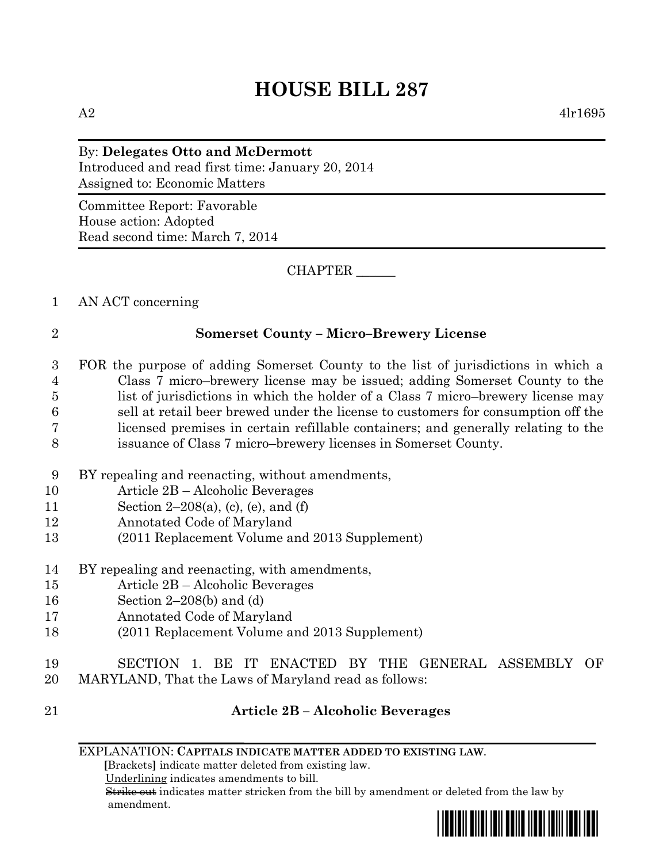$A2 \qquad \qquad 4l_1l_695$ 

#### By: **Delegates Otto and McDermott**

Introduced and read first time: January 20, 2014 Assigned to: Economic Matters

Committee Report: Favorable House action: Adopted Read second time: March 7, 2014

CHAPTER \_\_\_\_\_\_

#### 1 AN ACT concerning

#### 2 **Somerset County – Micro–Brewery License**

 FOR the purpose of adding Somerset County to the list of jurisdictions in which a Class 7 micro–brewery license may be issued; adding Somerset County to the list of jurisdictions in which the holder of a Class 7 micro–brewery license may sell at retail beer brewed under the license to customers for consumption off the licensed premises in certain refillable containers; and generally relating to the issuance of Class 7 micro–brewery licenses in Somerset County.

- 9 BY repealing and reenacting, without amendments,
- 10 Article 2B Alcoholic Beverages
- 11 Section 2–208(a), (c), (e), and (f)
- 12 Annotated Code of Maryland
- 13 (2011 Replacement Volume and 2013 Supplement)
- 14 BY repealing and reenacting, with amendments,
- 15 Article 2B Alcoholic Beverages
- 16 Section 2–208(b) and (d)
- 17 Annotated Code of Maryland
- 18 (2011 Replacement Volume and 2013 Supplement)
- 19 SECTION 1. BE IT ENACTED BY THE GENERAL ASSEMBLY OF
- 20 MARYLAND, That the Laws of Maryland read as follows:
- 21 **Article 2B – Alcoholic Beverages**

 **[**Brackets**]** indicate matter deleted from existing law.

Underlining indicates amendments to bill.

 Strike out indicates matter stricken from the bill by amendment or deleted from the law by amendment.

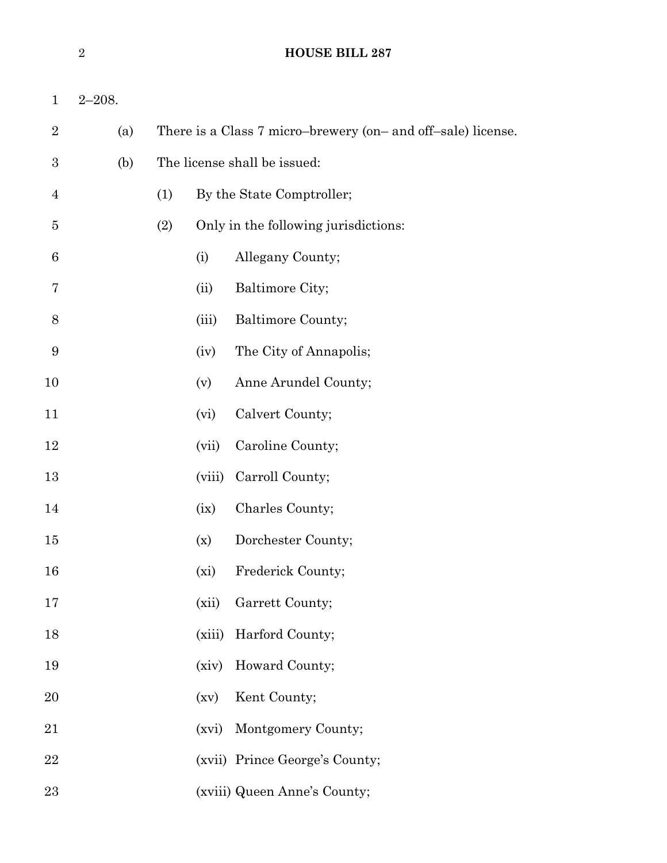| $\mathbf{1}$   | $2 - 208.$ |     |        |                                                              |
|----------------|------------|-----|--------|--------------------------------------------------------------|
| $\overline{2}$ | (a)        |     |        | There is a Class 7 micro-brewery (on- and off-sale) license. |
| 3              | (b)        |     |        | The license shall be issued:                                 |
| 4              |            | (1) |        | By the State Comptroller;                                    |
| 5              |            | (2) |        | Only in the following jurisdictions:                         |
| 6              |            |     | (i)    | Allegany County;                                             |
| 7              |            |     | (ii)   | Baltimore City;                                              |
| 8              |            |     | (iii)  | Baltimore County;                                            |
| 9              |            |     | (iv)   | The City of Annapolis;                                       |
| 10             |            |     | (v)    | Anne Arundel County;                                         |
| 11             |            |     | (vi)   | Calvert County;                                              |
| 12             |            |     | (vii)  | Caroline County;                                             |
| 13             |            |     | (viii) | Carroll County;                                              |
| 14             |            |     | (ix)   | Charles County;                                              |
| 15             |            |     | (x)    | Dorchester County;                                           |
| 16             |            |     | (xi)   | Frederick County;                                            |
| 17             |            |     | (xii)  | Garrett County;                                              |
| 18             |            |     | (xiii) | Harford County;                                              |
| 19             |            |     | (xiv)  | Howard County;                                               |
| 20             |            |     | (xv)   | Kent County;                                                 |
| 21             |            |     | (xvi)  | Montgomery County;                                           |
| 22             |            |     |        | (xvii) Prince George's County;                               |
| 23             |            |     |        | (xviii) Queen Anne's County;                                 |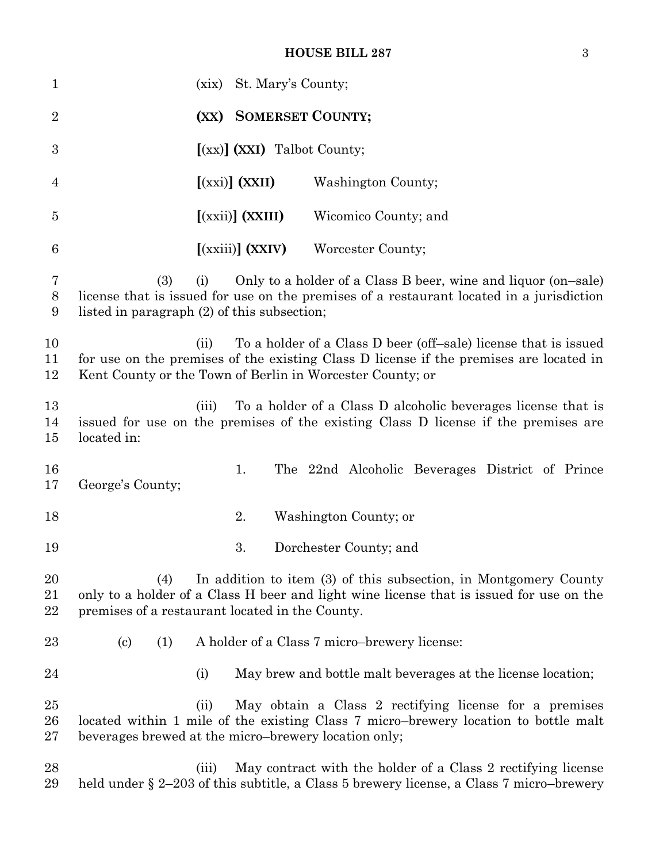#### **HOUSE BILL 287** 3

| $\mathbf{1}$       | (xix)                                                             | St. Mary's County;                                                                            |                                                                                                                                                             |
|--------------------|-------------------------------------------------------------------|-----------------------------------------------------------------------------------------------|-------------------------------------------------------------------------------------------------------------------------------------------------------------|
| $\overline{2}$     |                                                                   | (XX) SOMERSET COUNTY;                                                                         |                                                                                                                                                             |
| 3                  |                                                                   | $(xx)$ $(XXI)$ Talbot County;                                                                 |                                                                                                                                                             |
| 4                  |                                                                   | $[(xxi)]$ $(XXII)$                                                                            | Washington County;                                                                                                                                          |
| $\overline{5}$     |                                                                   | $\left[ \left( \overline{\text{xxii}} \right) \right] \left( \overline{\text{xxIII}} \right)$ | Wicomico County; and                                                                                                                                        |
| $6\phantom{.}6$    |                                                                   | $\left[$ (xxiii) $\right]$ (XXIV)                                                             | Worcester County;                                                                                                                                           |
| 7<br>$8\,$<br>9    | (3)<br>(i)<br>listed in paragraph (2) of this subsection;         |                                                                                               | Only to a holder of a Class B beer, wine and liquor (on-sale)<br>license that is issued for use on the premises of a restaurant located in a jurisdiction   |
| 10<br>11<br>12     | (ii)<br>Kent County or the Town of Berlin in Worcester County; or |                                                                                               | To a holder of a Class D beer (off-sale) license that is issued<br>for use on the premises of the existing Class D license if the premises are located in   |
| 13<br>14<br>15     | (iii)<br>located in:                                              |                                                                                               | To a holder of a Class D alcoholic beverages license that is<br>issued for use on the premises of the existing Class D license if the premises are          |
| 16<br>17           | George's County;                                                  | 1.                                                                                            | The 22nd Alcoholic Beverages District of Prince                                                                                                             |
| 18                 |                                                                   | 2.                                                                                            | Washington County; or                                                                                                                                       |
| 19                 |                                                                   | 3.                                                                                            | Dorchester County; and                                                                                                                                      |
| 20<br>21<br>22     | (4)<br>premises of a restaurant located in the County.            |                                                                                               | In addition to item (3) of this subsection, in Montgomery County<br>only to a holder of a Class H beer and light wine license that is issued for use on the |
| 23                 | $\left( \mathrm{c}\right)$<br>(1)                                 |                                                                                               | A holder of a Class 7 micro-brewery license:                                                                                                                |
| 24                 | (i)                                                               |                                                                                               | May brew and bottle malt beverages at the license location;                                                                                                 |
| $25\,$<br>26<br>27 | (ii)<br>beverages brewed at the micro-brewery location only;      |                                                                                               | May obtain a Class 2 rectifying license for a premises<br>located within 1 mile of the existing Class 7 micro-brewery location to bottle malt               |
| 28<br>29           | (iii)                                                             |                                                                                               | May contract with the holder of a Class 2 rectifying license<br>held under $\S 2-203$ of this subtitle, a Class 5 brewery license, a Class 7 micro-brewery  |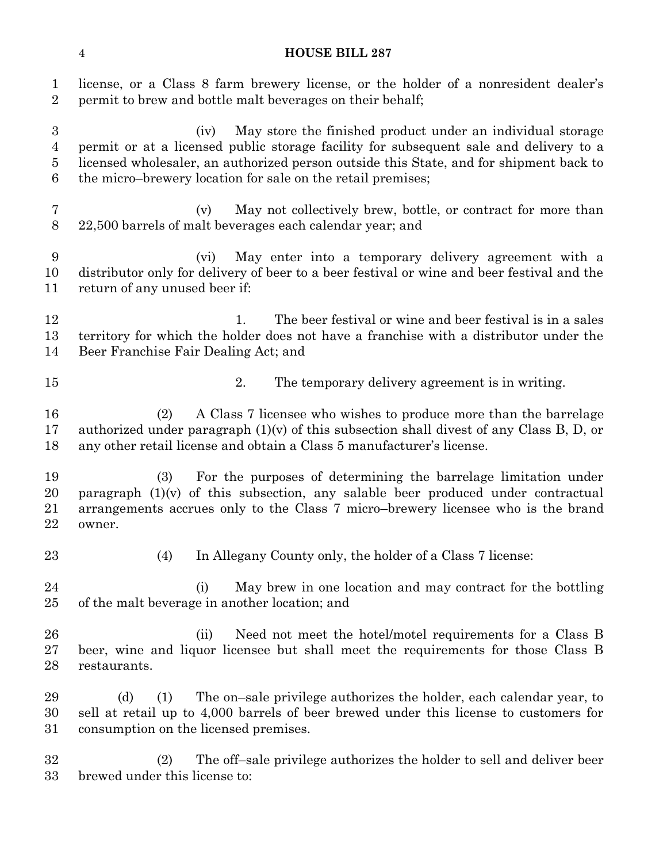| $\mathbf{1}$<br>$\overline{2}$                     | license, or a Class 8 farm brewery license, or the holder of a nonresident dealer's<br>permit to brew and bottle malt beverages on their behalf;                                                                                                                                                                     |
|----------------------------------------------------|----------------------------------------------------------------------------------------------------------------------------------------------------------------------------------------------------------------------------------------------------------------------------------------------------------------------|
| $\boldsymbol{3}$<br>$\overline{4}$<br>$\bf 5$<br>6 | May store the finished product under an individual storage<br>(iv)<br>permit or at a licensed public storage facility for subsequent sale and delivery to a<br>licensed wholesaler, an authorized person outside this State, and for shipment back to<br>the micro-brewery location for sale on the retail premises; |
| 7<br>$8\,$                                         | May not collectively brew, bottle, or contract for more than<br>(v)<br>22,500 barrels of malt beverages each calendar year; and                                                                                                                                                                                      |
| 9<br>10<br>11                                      | May enter into a temporary delivery agreement with a<br>(vi)<br>distributor only for delivery of beer to a beer festival or wine and beer festival and the<br>return of any unused beer if:                                                                                                                          |
| 12<br>13<br>14                                     | The beer festival or wine and beer festival is in a sales<br>1.<br>territory for which the holder does not have a franchise with a distributor under the<br>Beer Franchise Fair Dealing Act; and                                                                                                                     |
| 15                                                 | 2.<br>The temporary delivery agreement is in writing.                                                                                                                                                                                                                                                                |
| 16<br>17<br>18                                     | A Class 7 licensee who wishes to produce more than the barrelage<br>(2)<br>authorized under paragraph $(1)(v)$ of this subsection shall divest of any Class B, D, or<br>any other retail license and obtain a Class 5 manufacturer's license.                                                                        |
| 19<br>20<br>21<br>22                               | For the purposes of determining the barrelage limitation under<br>(3)<br>paragraph $(1)(v)$ of this subsection, any salable beer produced under contractual<br>arrangements accrues only to the Class 7 micro-brewery licensee who is the brand<br>owner.                                                            |
| 23                                                 | In Allegany County only, the holder of a Class 7 license:<br>(4)                                                                                                                                                                                                                                                     |
| 24<br>25                                           | May brew in one location and may contract for the bottling<br>(i)<br>of the malt beverage in another location; and                                                                                                                                                                                                   |
| 26<br>27<br>28                                     | Need not meet the hotel/motel requirements for a Class B<br>(ii)<br>beer, wine and liquor licensee but shall meet the requirements for those Class B<br>restaurants.                                                                                                                                                 |
| 29<br>30<br>31                                     | The on-sale privilege authorizes the holder, each calendar year, to<br>(d)<br>(1)<br>sell at retail up to 4,000 barrels of beer brewed under this license to customers for<br>consumption on the licensed premises.                                                                                                  |
| 32<br>33                                           | (2)<br>The off-sale privilege authorizes the holder to sell and deliver beer<br>brewed under this license to:                                                                                                                                                                                                        |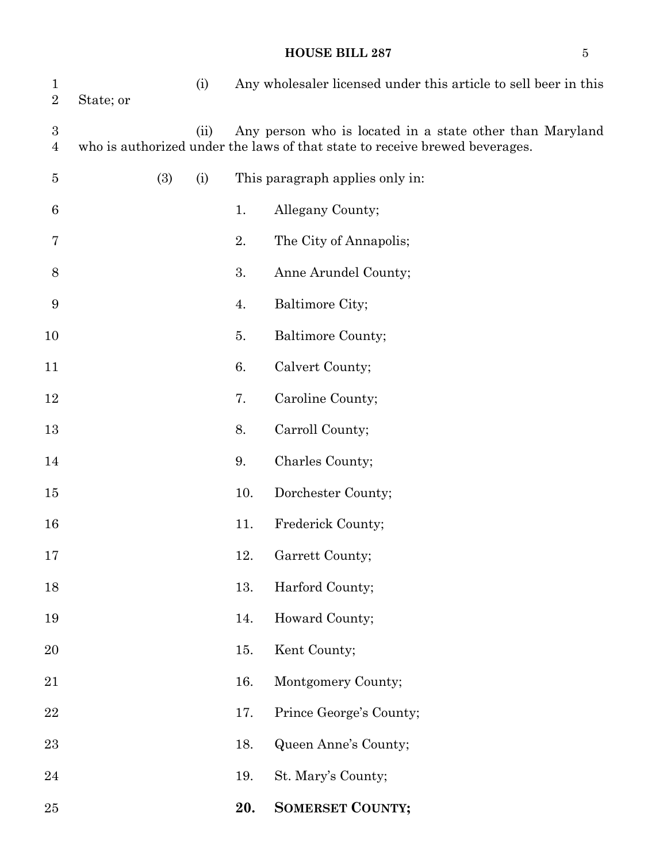## **HOUSE BILL 287** 5

| $\mathbf{1}$<br>$\sqrt{2}$         | State; or |     | (i)  |     | Any wholesaler licensed under this article to sell beer in this                                                                         |
|------------------------------------|-----------|-----|------|-----|-----------------------------------------------------------------------------------------------------------------------------------------|
| $\boldsymbol{3}$<br>$\overline{4}$ |           |     | (ii) |     | Any person who is located in a state other than Maryland<br>who is authorized under the laws of that state to receive brewed beverages. |
| 5                                  |           | (3) | (i)  |     | This paragraph applies only in:                                                                                                         |
| 6                                  |           |     |      | 1.  | Allegany County;                                                                                                                        |
| 7                                  |           |     |      | 2.  | The City of Annapolis;                                                                                                                  |
| 8                                  |           |     |      | 3.  | Anne Arundel County;                                                                                                                    |
| 9                                  |           |     |      | 4.  | Baltimore City;                                                                                                                         |
| 10                                 |           |     |      | 5.  | Baltimore County;                                                                                                                       |
| 11                                 |           |     |      | 6.  | Calvert County;                                                                                                                         |
| 12                                 |           |     |      | 7.  | Caroline County;                                                                                                                        |
| 13                                 |           |     |      | 8.  | Carroll County;                                                                                                                         |
| 14                                 |           |     |      | 9.  | Charles County;                                                                                                                         |
| 15                                 |           |     |      | 10. | Dorchester County;                                                                                                                      |
| 16                                 |           |     |      | 11. | Frederick County;                                                                                                                       |
| 17                                 |           |     |      | 12. | Garrett County;                                                                                                                         |
| 18                                 |           |     |      | 13. | Harford County;                                                                                                                         |
| 19                                 |           |     |      | 14. | Howard County;                                                                                                                          |
| 20                                 |           |     |      | 15. | Kent County;                                                                                                                            |
| 21                                 |           |     |      | 16. | Montgomery County;                                                                                                                      |
| 22                                 |           |     |      | 17. | Prince George's County;                                                                                                                 |
| 23                                 |           |     |      | 18. | Queen Anne's County;                                                                                                                    |
| 24                                 |           |     |      | 19. | St. Mary's County;                                                                                                                      |
| 25                                 |           |     |      | 20. | <b>SOMERSET COUNTY;</b>                                                                                                                 |